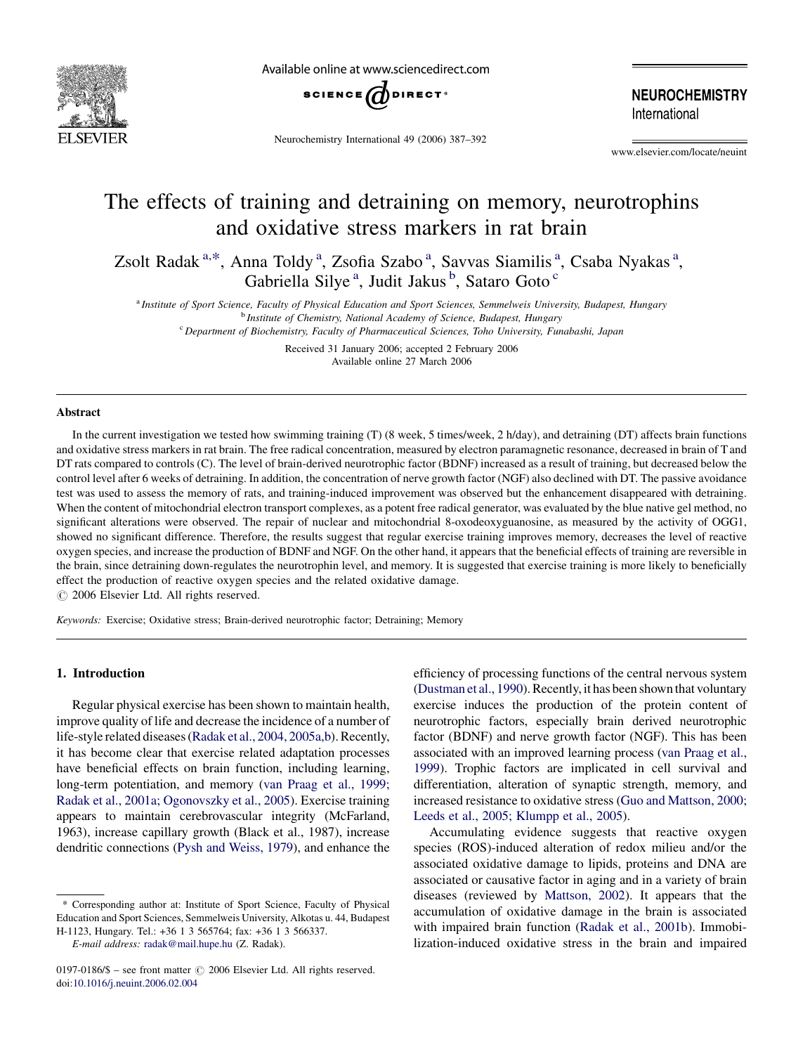

Available online at www.sciencedirect.com



Neurochemistry International 49 (2006) 387–392

**NEUROCHEMISTRY** International

www.elsevier.com/locate/neuint

# The effects of training and detraining on memory, neurotrophins and oxidative stress markers in rat brain

Zsolt Radak<sup>a,\*</sup>, Anna Toldy<sup>a</sup>, Zsofia Szabo<sup>a</sup>, Savvas Siamilis<sup>a</sup>, Csaba Nyakas<sup>a</sup>, Gabriella Silye<sup>a</sup>, Judit Jakus<sup>b</sup>, Sataro Goto<sup>c</sup>

a Institute of Sport Science, Faculty of Physical Education and Sport Sciences, Semmelweis University, Budapest, Hungary

<sup>b</sup> Institute of Chemistry, National Academy of Science, Budapest, Hungary <sup>c</sup> Department of Biochemistry, Faculty of Pharmaceutical Sciences, Toho University, Funabashi, Japan

Received 31 January 2006; accepted 2 February 2006

Available online 27 March 2006

#### Abstract

In the current investigation we tested how swimming training (T) (8 week, 5 times/week, 2 h/day), and detraining (DT) affects brain functions and oxidative stress markers in rat brain. The free radical concentration, measured by electron paramagnetic resonance, decreased in brain of T and DT rats compared to controls (C). The level of brain-derived neurotrophic factor (BDNF) increased as a result of training, but decreased below the control level after 6 weeks of detraining. In addition, the concentration of nerve growth factor (NGF) also declined with DT. The passive avoidance test was used to assess the memory of rats, and training-induced improvement was observed but the enhancement disappeared with detraining. When the content of mitochondrial electron transport complexes, as a potent free radical generator, was evaluated by the blue native gel method, no significant alterations were observed. The repair of nuclear and mitochondrial 8-oxodeoxyguanosine, as measured by the activity of OGG1, showed no significant difference. Therefore, the results suggest that regular exercise training improves memory, decreases the level of reactive oxygen species, and increase the production of BDNF and NGF. On the other hand, it appears that the beneficial effects of training are reversible in the brain, since detraining down-regulates the neurotrophin level, and memory. It is suggested that exercise training is more likely to beneficially effect the production of reactive oxygen species and the related oxidative damage.

 $\odot$  2006 Elsevier Ltd. All rights reserved.

Keywords: Exercise; Oxidative stress; Brain-derived neurotrophic factor; Detraining; Memory

## 1. Introduction

Regular physical exercise has been shown to maintain health, improve quality of life and decrease the incidence of a number of life-style related diseases ([Radak et al., 2004, 2005a,b](#page-5-0)). Recently, it has become clear that exercise related adaptation processes have beneficial effects on brain function, including learning, long-term potentiation, and memory ([van Praag et al., 1999;](#page-5-0) [Radak et al., 2001a; Ogonovszky et al., 2005\)](#page-5-0). Exercise training appears to maintain cerebrovascular integrity (McFarland, 1963), increase capillary growth (Black et al., 1987), increase dendritic connections ([Pysh and Weiss, 1979\)](#page-5-0), and enhance the efficiency of processing functions of the central nervous system ([Dustman et al., 1990\)](#page-4-0). Recently, it has been shown that voluntary exercise induces the production of the protein content of neurotrophic factors, especially brain derived neurotrophic factor (BDNF) and nerve growth factor (NGF). This has been associated with an improved learning process [\(van Praag et al.,](#page-5-0) [1999](#page-5-0)). Trophic factors are implicated in cell survival and differentiation, alteration of synaptic strength, memory, and increased resistance to oxidative stress ([Guo and Mattson, 2000;](#page-4-0) [Leeds et al., 2005; Klumpp et al., 2005](#page-4-0)).

Accumulating evidence suggests that reactive oxygen species (ROS)-induced alteration of redox milieu and/or the associated oxidative damage to lipids, proteins and DNA are associated or causative factor in aging and in a variety of brain diseases (reviewed by [Mattson, 2002\)](#page-5-0). It appears that the accumulation of oxidative damage in the brain is associated with impaired brain function ([Radak et al., 2001b](#page-5-0)). Immobilization-induced oxidative stress in the brain and impaired

<sup>\*</sup> Corresponding author at: Institute of Sport Science, Faculty of Physical Education and Sport Sciences, Semmelweis University, Alkotas u. 44, Budapest H-1123, Hungary. Tel.: +36 1 3 565764; fax: +36 1 3 566337.

E-mail address: [radak@mail.hupe.hu](mailto:radak@mail.hupe.hu) (Z. Radak).

<sup>0197-0186/\$ –</sup> see front matter  $\odot$  2006 Elsevier Ltd. All rights reserved. doi:[10.1016/j.neuint.2006.02.004](http://dx.doi.org/10.1016/j.neuint.2006.02.004)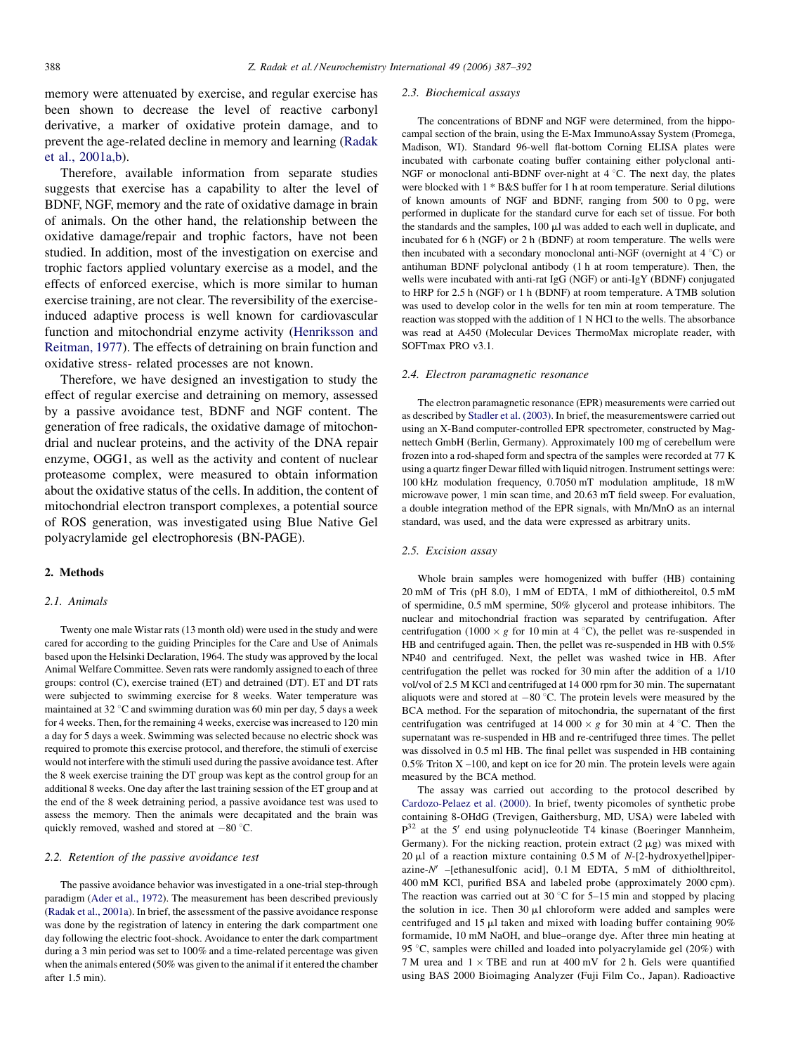memory were attenuated by exercise, and regular exercise has been shown to decrease the level of reactive carbonyl derivative, a marker of oxidative protein damage, and to prevent the age-related decline in memory and learning [\(Radak](#page-5-0) [et al., 2001a,b\)](#page-5-0).

Therefore, available information from separate studies suggests that exercise has a capability to alter the level of BDNF, NGF, memory and the rate of oxidative damage in brain of animals. On the other hand, the relationship between the oxidative damage/repair and trophic factors, have not been studied. In addition, most of the investigation on exercise and trophic factors applied voluntary exercise as a model, and the effects of enforced exercise, which is more similar to human exercise training, are not clear. The reversibility of the exerciseinduced adaptive process is well known for cardiovascular function and mitochondrial enzyme activity [\(Henriksson and](#page-4-0) [Reitman, 1977](#page-4-0)). The effects of detraining on brain function and oxidative stress- related processes are not known.

Therefore, we have designed an investigation to study the effect of regular exercise and detraining on memory, assessed by a passive avoidance test, BDNF and NGF content. The generation of free radicals, the oxidative damage of mitochondrial and nuclear proteins, and the activity of the DNA repair enzyme, OGG1, as well as the activity and content of nuclear proteasome complex, were measured to obtain information about the oxidative status of the cells. In addition, the content of mitochondrial electron transport complexes, a potential source of ROS generation, was investigated using Blue Native Gel polyacrylamide gel electrophoresis (BN-PAGE).

#### 2. Methods

#### 2.1. Animals

Twenty one male Wistar rats (13 month old) were used in the study and were cared for according to the guiding Principles for the Care and Use of Animals based upon the Helsinki Declaration, 1964. The study was approved by the local Animal Welfare Committee. Seven rats were randomly assigned to each of three groups: control (C), exercise trained (ET) and detrained (DT). ET and DT rats were subjected to swimming exercise for 8 weeks. Water temperature was maintained at 32  $\degree$ C and swimming duration was 60 min per day, 5 days a week for 4 weeks. Then, for the remaining 4 weeks, exercise was increased to 120 min a day for 5 days a week. Swimming was selected because no electric shock was required to promote this exercise protocol, and therefore, the stimuli of exercise would not interfere with the stimuli used during the passive avoidance test. After the 8 week exercise training the DT group was kept as the control group for an additional 8 weeks. One day after the last training session of the ET group and at the end of the 8 week detraining period, a passive avoidance test was used to assess the memory. Then the animals were decapitated and the brain was quickly removed, washed and stored at  $-80$  °C.

#### 2.2. Retention of the passive avoidance test

The passive avoidance behavior was investigated in a one-trial step-through paradigm ([Ader et al., 1972\)](#page-4-0). The measurement has been described previously [\(Radak et al., 2001a\)](#page-5-0). In brief, the assessment of the passive avoidance response was done by the registration of latency in entering the dark compartment one day following the electric foot-shock. Avoidance to enter the dark compartment during a 3 min period was set to 100% and a time-related percentage was given when the animals entered (50% was given to the animal if it entered the chamber after 1.5 min).

#### 2.3. Biochemical assays

The concentrations of BDNF and NGF were determined, from the hippocampal section of the brain, using the E-Max ImmunoAssay System (Promega, Madison, WI). Standard 96-well flat-bottom Corning ELISA plates were incubated with carbonate coating buffer containing either polyclonal anti-NGF or monoclonal anti-BDNF over-night at  $4^{\circ}$ C. The next day, the plates were blocked with 1 \* B&S buffer for 1 h at room temperature. Serial dilutions of known amounts of NGF and BDNF, ranging from 500 to 0 pg, were performed in duplicate for the standard curve for each set of tissue. For both the standards and the samples,  $100 \mu l$  was added to each well in duplicate, and incubated for 6 h (NGF) or 2 h (BDNF) at room temperature. The wells were then incubated with a secondary monoclonal anti-NGF (overnight at  $4^{\circ}$ C) or antihuman BDNF polyclonal antibody (1 h at room temperature). Then, the wells were incubated with anti-rat IgG (NGF) or anti-IgY (BDNF) conjugated to HRP for 2.5 h (NGF) or 1 h (BDNF) at room temperature. A TMB solution was used to develop color in the wells for ten min at room temperature. The reaction was stopped with the addition of 1 N HCl to the wells. The absorbance was read at A450 (Molecular Devices ThermoMax microplate reader, with SOFTmax PRO v3.1.

#### 2.4. Electron paramagnetic resonance

The electron paramagnetic resonance (EPR) measurements were carried out as described by [Stadler et al. \(2003\).](#page-5-0) In brief, the measurementswere carried out using an X-Band computer-controlled EPR spectrometer, constructed by Magnettech GmbH (Berlin, Germany). Approximately 100 mg of cerebellum were frozen into a rod-shaped form and spectra of the samples were recorded at 77 K using a quartz finger Dewar filled with liquid nitrogen. Instrument settings were: 100 kHz modulation frequency, 0.7050 mT modulation amplitude, 18 mW microwave power, 1 min scan time, and 20.63 mT field sweep. For evaluation, a double integration method of the EPR signals, with Mn/MnO as an internal standard, was used, and the data were expressed as arbitrary units.

#### 2.5. Excision assay

Whole brain samples were homogenized with buffer (HB) containing 20 mM of Tris (pH 8.0), 1 mM of EDTA, 1 mM of dithiothereitol, 0.5 mM of spermidine, 0.5 mM spermine, 50% glycerol and protease inhibitors. The nuclear and mitochondrial fraction was separated by centrifugation. After centrifugation (1000  $\times$  g for 10 min at 4 °C), the pellet was re-suspended in HB and centrifuged again. Then, the pellet was re-suspended in HB with 0.5% NP40 and centrifuged. Next, the pellet was washed twice in HB. After centrifugation the pellet was rocked for 30 min after the addition of a 1/10 vol/vol of 2.5 M KCl and centrifuged at 14 000 rpm for 30 min. The supernatant aliquots were and stored at  $-80$  °C. The protein levels were measured by the BCA method. For the separation of mitochondria, the supernatant of the first centrifugation was centrifuged at  $14000 \times g$  for 30 min at 4 °C. Then the supernatant was re-suspended in HB and re-centrifuged three times. The pellet was dissolved in 0.5 ml HB. The final pellet was suspended in HB containing 0.5% Triton X –100, and kept on ice for 20 min. The protein levels were again measured by the BCA method.

The assay was carried out according to the protocol described by [Cardozo-Pelaez et al. \(2000\)](#page-4-0). In brief, twenty picomoles of synthetic probe containing 8-OHdG (Trevigen, Gaithersburg, MD, USA) were labeled with  $P^{32}$  at the 5' end using polynucleotide T4 kinase (Boeringer Mannheim, Germany). For the nicking reaction, protein extract  $(2 \mu g)$  was mixed with 20  $\mu$ l of a reaction mixture containing 0.5 M of N-[2-hydroxyethel]piperazine- $N'$  –[ethanesulfonic acid], 0.1 M EDTA, 5 mM of dithiolthreitol, 400 mM KCl, purified BSA and labeled probe (approximately 2000 cpm). The reaction was carried out at 30  $^{\circ}$ C for 5–15 min and stopped by placing the solution in ice. Then  $30 \mu l$  chloroform were added and samples were centrifuged and 15  $\mu$ l taken and mixed with loading buffer containing 90% formamide, 10 mM NaOH, and blue–orange dye. After three min heating at 95 °C, samples were chilled and loaded into polyacrylamide gel (20%) with 7 M urea and  $1 \times$  TBE and run at 400 mV for 2 h. Gels were quantified using BAS 2000 Bioimaging Analyzer (Fuji Film Co., Japan). Radioactive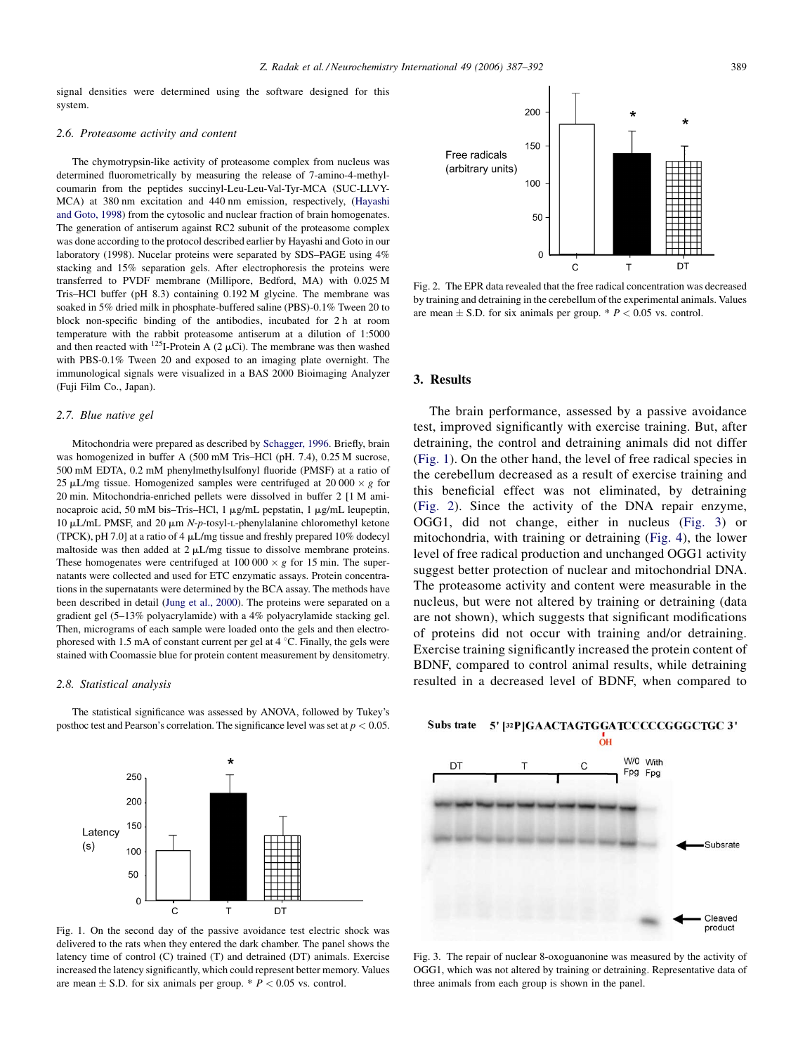signal densities were determined using the software designed for this system.

#### 2.6. Proteasome activity and content

The chymotrypsin-like activity of proteasome complex from nucleus was determined fluorometrically by measuring the release of 7-amino-4-methylcoumarin from the peptides succinyl-Leu-Leu-Val-Tyr-MCA (SUC-LLVY-MCA) at 380 nm excitation and 440 nm emission, respectively, [\(Hayashi](#page-4-0) [and Goto, 1998\)](#page-4-0) from the cytosolic and nuclear fraction of brain homogenates. The generation of antiserum against RC2 subunit of the proteasome complex was done according to the protocol described earlier by Hayashi and Goto in our laboratory (1998). Nucelar proteins were separated by SDS–PAGE using 4% stacking and 15% separation gels. After electrophoresis the proteins were transferred to PVDF membrane (Millipore, Bedford, MA) with 0.025 M Tris–HCl buffer (pH 8.3) containing 0.192 M glycine. The membrane was soaked in 5% dried milk in phosphate-buffered saline (PBS)-0.1% Tween 20 to block non-specific binding of the antibodies, incubated for 2 h at room temperature with the rabbit proteasome antiserum at a dilution of 1:5000 and then reacted with  $^{125}$ I-Protein A (2  $\mu$ Ci). The membrane was then washed with PBS-0.1% Tween 20 and exposed to an imaging plate overnight. The immunological signals were visualized in a BAS 2000 Bioimaging Analyzer (Fuji Film Co., Japan).

#### 2.7. Blue native gel

Mitochondria were prepared as described by [Schagger, 1996.](#page-5-0) Briefly, brain was homogenized in buffer A (500 mM Tris–HCl (pH. 7.4), 0.25 M sucrose, 500 mM EDTA, 0.2 mM phenylmethylsulfonyl fluoride (PMSF) at a ratio of 25 µL/mg tissue. Homogenized samples were centrifuged at 20 000  $\times$  g for 20 min. Mitochondria-enriched pellets were dissolved in buffer 2 [1 M aminocaproic acid, 50 mM bis–Tris–HCl, 1 mg/mL pepstatin, 1 mg/mL leupeptin, 10  $\mu$ L/mL PMSF, and 20  $\mu$ m N-p-tosyl-L-phenylalanine chloromethyl ketone (TPCK), pH 7.0] at a ratio of 4  $\mu$ L/mg tissue and freshly prepared 10% dodecyl maltoside was then added at  $2 \mu L/mg$  tissue to dissolve membrane proteins. These homogenates were centrifuged at  $100\,000 \times g$  for 15 min. The supernatants were collected and used for ETC enzymatic assays. Protein concentrations in the supernatants were determined by the BCA assay. The methods have been described in detail ([Jung et al., 2000\)](#page-4-0). The proteins were separated on a gradient gel (5–13% polyacrylamide) with a 4% polyacrylamide stacking gel. Then, micrograms of each sample were loaded onto the gels and then electrophoresed with 1.5 mA of constant current per gel at  $4^{\circ}$ C. Finally, the gels were stained with Coomassie blue for protein content measurement by densitometry.

#### 2.8. Statistical analysis

The statistical significance was assessed by ANOVA, followed by Tukey's posthoc test and Pearson's correlation. The significance level was set at  $p < 0.05$ .



Fig. 1. On the second day of the passive avoidance test electric shock was delivered to the rats when they entered the dark chamber. The panel shows the latency time of control (C) trained (T) and detrained (DT) animals. Exercise increased the latency significantly, which could represent better memory. Values are mean  $\pm$  S.D. for six animals per group. \*  $P < 0.05$  vs. control.



Fig. 2. The EPR data revealed that the free radical concentration was decreased by training and detraining in the cerebellum of the experimental animals. Values are mean  $\pm$  S.D. for six animals per group. \*  $P < 0.05$  vs. control.

#### 3. Results

The brain performance, assessed by a passive avoidance test, improved significantly with exercise training. But, after detraining, the control and detraining animals did not differ (Fig. 1). On the other hand, the level of free radical species in the cerebellum decreased as a result of exercise training and this beneficial effect was not eliminated, by detraining (Fig. 2). Since the activity of the DNA repair enzyme, OGG1, did not change, either in nucleus (Fig. 3) or mitochondria, with training or detraining ([Fig. 4](#page-3-0)), the lower level of free radical production and unchanged OGG1 activity suggest better protection of nuclear and mitochondrial DNA. The proteasome activity and content were measurable in the nucleus, but were not altered by training or detraining (data are not shown), which suggests that significant modifications of proteins did not occur with training and/or detraining. Exercise training significantly increased the protein content of BDNF, compared to control animal results, while detraining resulted in a decreased level of BDNF, when compared to

#### Subs trate 5' [32P]GAACTAGTGGATCCCCCGGGCTGC 3'



Fig. 3. The repair of nuclear 8-oxoguanonine was measured by the activity of OGG1, which was not altered by training or detraining. Representative data of three animals from each group is shown in the panel.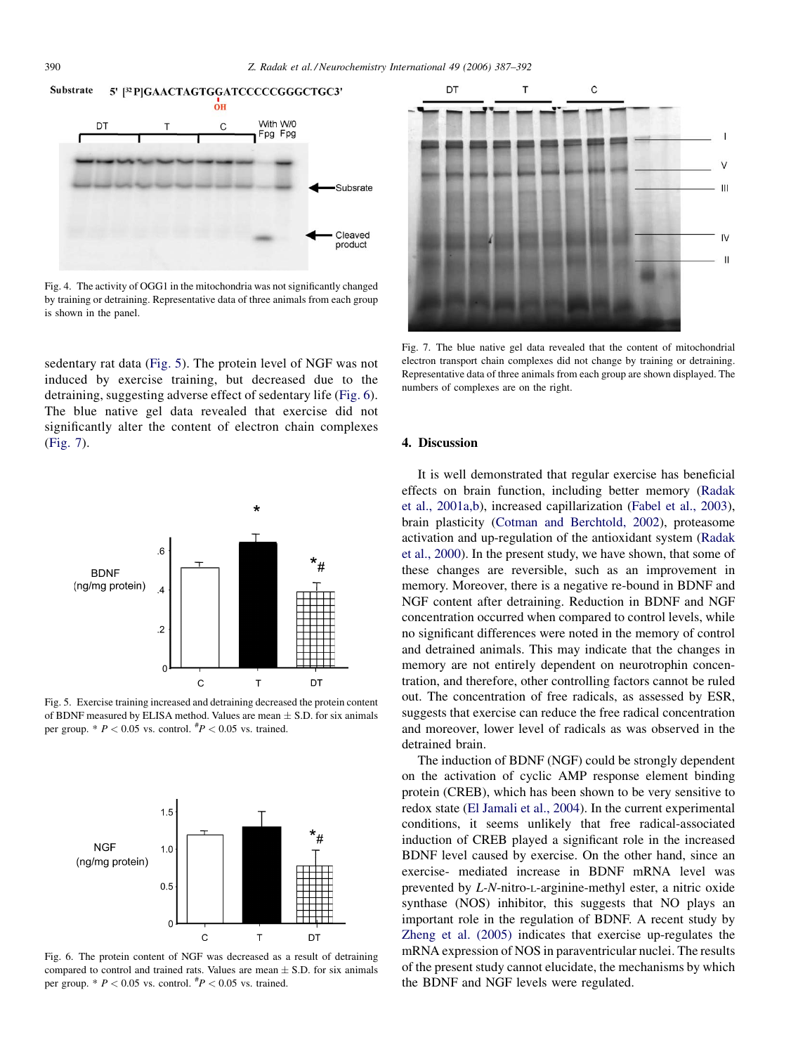<span id="page-3-0"></span>

Fig. 4. The activity of OGG1 in the mitochondria was not significantly changed by training or detraining. Representative data of three animals from each group is shown in the panel.

sedentary rat data (Fig. 5). The protein level of NGF was not induced by exercise training, but decreased due to the detraining, suggesting adverse effect of sedentary life (Fig. 6). The blue native gel data revealed that exercise did not significantly alter the content of electron chain complexes (Fig. 7). 4. Discussion



Fig. 5. Exercise training increased and detraining decreased the protein content of BDNF measured by ELISA method. Values are mean  $\pm$  S.D. for six animals per group.  $* P < 0.05$  vs. control.  $* P < 0.05$  vs. trained.



Fig. 6. The protein content of NGF was decreased as a result of detraining compared to control and trained rats. Values are mean  $\pm$  S.D. for six animals per group.  $* P < 0.05$  vs. control.  $* P < 0.05$  vs. trained.



Fig. 7. The blue native gel data revealed that the content of mitochondrial electron transport chain complexes did not change by training or detraining. Representative data of three animals from each group are shown displayed. The numbers of complexes are on the right.

It is well demonstrated that regular exercise has beneficial effects on brain function, including better memory [\(Radak](#page-5-0) [et al., 2001a,b](#page-5-0)), increased capillarization ([Fabel et al., 2003\)](#page-4-0), brain plasticity [\(Cotman and Berchtold, 2002\)](#page-4-0), proteasome activation and up-regulation of the antioxidant system [\(Radak](#page-5-0) [et al., 2000](#page-5-0)). In the present study, we have shown, that some of these changes are reversible, such as an improvement in memory. Moreover, there is a negative re-bound in BDNF and NGF content after detraining. Reduction in BDNF and NGF concentration occurred when compared to control levels, while no significant differences were noted in the memory of control and detrained animals. This may indicate that the changes in memory are not entirely dependent on neurotrophin concentration, and therefore, other controlling factors cannot be ruled out. The concentration of free radicals, as assessed by ESR, suggests that exercise can reduce the free radical concentration and moreover, lower level of radicals as was observed in the detrained brain.

The induction of BDNF (NGF) could be strongly dependent on the activation of cyclic AMP response element binding protein (CREB), which has been shown to be very sensitive to redox state [\(El Jamali et al., 2004\)](#page-4-0). In the current experimental conditions, it seems unlikely that free radical-associated induction of CREB played a significant role in the increased BDNF level caused by exercise. On the other hand, since an exercise- mediated increase in BDNF mRNA level was prevented by L-N-nitro-L-arginine-methyl ester, a nitric oxide synthase (NOS) inhibitor, this suggests that NO plays an important role in the regulation of BDNF. A recent study by [Zheng et al. \(2005\)](#page-5-0) indicates that exercise up-regulates the mRNA expression of NOS in paraventricular nuclei. The results of the present study cannot elucidate, the mechanisms by which the BDNF and NGF levels were regulated.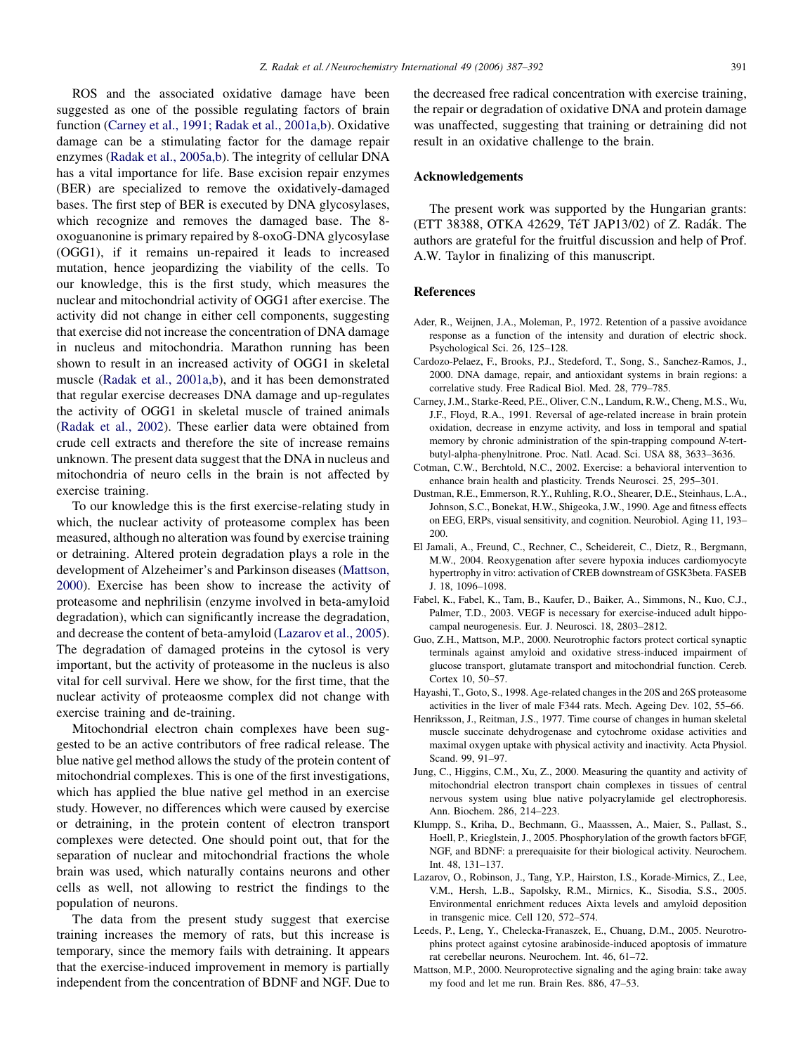<span id="page-4-0"></span>ROS and the associated oxidative damage have been suggested as one of the possible regulating factors of brain function (Carney et al., 1991; Radak et al., 2001a,b). Oxidative damage can be a stimulating factor for the damage repair enzymes [\(Radak et al., 2005a,b](#page-5-0)). The integrity of cellular DNA has a vital importance for life. Base excision repair enzymes (BER) are specialized to remove the oxidatively-damaged bases. The first step of BER is executed by DNA glycosylases, which recognize and removes the damaged base. The 8 oxoguanonine is primary repaired by 8-oxoG-DNA glycosylase (OGG1), if it remains un-repaired it leads to increased mutation, hence jeopardizing the viability of the cells. To our knowledge, this is the first study, which measures the nuclear and mitochondrial activity of OGG1 after exercise. The activity did not change in either cell components, suggesting that exercise did not increase the concentration of DNA damage in nucleus and mitochondria. Marathon running has been shown to result in an increased activity of OGG1 in skeletal muscle ([Radak et al., 2001a,b\)](#page-5-0), and it has been demonstrated that regular exercise decreases DNA damage and up-regulates the activity of OGG1 in skeletal muscle of trained animals ([Radak et al., 2002](#page-5-0)). These earlier data were obtained from crude cell extracts and therefore the site of increase remains unknown. The present data suggest that the DNA in nucleus and mitochondria of neuro cells in the brain is not affected by exercise training.

To our knowledge this is the first exercise-relating study in which, the nuclear activity of proteasome complex has been measured, although no alteration was found by exercise training or detraining. Altered protein degradation plays a role in the development of Alzeheimer's and Parkinson diseases (Mattson, 2000). Exercise has been show to increase the activity of proteasome and nephrilisin (enzyme involved in beta-amyloid degradation), which can significantly increase the degradation, and decrease the content of beta-amyloid (Lazarov et al., 2005). The degradation of damaged proteins in the cytosol is very important, but the activity of proteasome in the nucleus is also vital for cell survival. Here we show, for the first time, that the nuclear activity of proteaosme complex did not change with exercise training and de-training.

Mitochondrial electron chain complexes have been suggested to be an active contributors of free radical release. The blue native gel method allows the study of the protein content of mitochondrial complexes. This is one of the first investigations, which has applied the blue native gel method in an exercise study. However, no differences which were caused by exercise or detraining, in the protein content of electron transport complexes were detected. One should point out, that for the separation of nuclear and mitochondrial fractions the whole brain was used, which naturally contains neurons and other cells as well, not allowing to restrict the findings to the population of neurons.

The data from the present study suggest that exercise training increases the memory of rats, but this increase is temporary, since the memory fails with detraining. It appears that the exercise-induced improvement in memory is partially independent from the concentration of BDNF and NGF. Due to the decreased free radical concentration with exercise training, the repair or degradation of oxidative DNA and protein damage was unaffected, suggesting that training or detraining did not result in an oxidative challenge to the brain.

### Acknowledgements

The present work was supported by the Hungarian grants: (ETT 38388, OTKA 42629, TéT JAP13/02) of Z. Radák. The authors are grateful for the fruitful discussion and help of Prof. A.W. Taylor in finalizing of this manuscript.

#### References

- Ader, R., Weijnen, J.A., Moleman, P., 1972. Retention of a passive avoidance response as a function of the intensity and duration of electric shock. Psychological Sci. 26, 125–128.
- Cardozo-Pelaez, F., Brooks, P.J., Stedeford, T., Song, S., Sanchez-Ramos, J., 2000. DNA damage, repair, and antioxidant systems in brain regions: a correlative study. Free Radical Biol. Med. 28, 779–785.
- Carney, J.M., Starke-Reed, P.E., Oliver, C.N., Landum, R.W., Cheng, M.S., Wu, J.F., Floyd, R.A., 1991. Reversal of age-related increase in brain protein oxidation, decrease in enzyme activity, and loss in temporal and spatial memory by chronic administration of the spin-trapping compound N-tertbutyl-alpha-phenylnitrone. Proc. Natl. Acad. Sci. USA 88, 3633–3636.
- Cotman, C.W., Berchtold, N.C., 2002. Exercise: a behavioral intervention to enhance brain health and plasticity. Trends Neurosci. 25, 295–301.
- Dustman, R.E., Emmerson, R.Y., Ruhling, R.O., Shearer, D.E., Steinhaus, L.A., Johnson, S.C., Bonekat, H.W., Shigeoka, J.W., 1990. Age and fitness effects on EEG, ERPs, visual sensitivity, and cognition. Neurobiol. Aging 11, 193– 200.
- El Jamali, A., Freund, C., Rechner, C., Scheidereit, C., Dietz, R., Bergmann, M.W., 2004. Reoxygenation after severe hypoxia induces cardiomyocyte hypertrophy in vitro: activation of CREB downstream of GSK3beta. FASEB J. 18, 1096–1098.
- Fabel, K., Fabel, K., Tam, B., Kaufer, D., Baiker, A., Simmons, N., Kuo, C.J., Palmer, T.D., 2003. VEGF is necessary for exercise-induced adult hippocampal neurogenesis. Eur. J. Neurosci. 18, 2803–2812.
- Guo, Z.H., Mattson, M.P., 2000. Neurotrophic factors protect cortical synaptic terminals against amyloid and oxidative stress-induced impairment of glucose transport, glutamate transport and mitochondrial function. Cereb. Cortex 10, 50–57.
- Hayashi, T., Goto, S., 1998. Age-related changes in the 20S and 26S proteasome activities in the liver of male F344 rats. Mech. Ageing Dev. 102, 55–66.
- Henriksson, J., Reitman, J.S., 1977. Time course of changes in human skeletal muscle succinate dehydrogenase and cytochrome oxidase activities and maximal oxygen uptake with physical activity and inactivity. Acta Physiol. Scand. 99, 91–97.
- Jung, C., Higgins, C.M., Xu, Z., 2000. Measuring the quantity and activity of mitochondrial electron transport chain complexes in tissues of central nervous system using blue native polyacrylamide gel electrophoresis. Ann. Biochem. 286, 214–223.
- Klumpp, S., Kriha, D., Bechmann, G., Maasssen, A., Maier, S., Pallast, S., Hoell, P., Krieglstein, J., 2005. Phosphorylation of the growth factors bFGF, NGF, and BDNF: a prerequaisite for their biological activity. Neurochem. Int. 48, 131–137.
- Lazarov, O., Robinson, J., Tang, Y.P., Hairston, I.S., Korade-Mirnics, Z., Lee, V.M., Hersh, L.B., Sapolsky, R.M., Mirnics, K., Sisodia, S.S., 2005. Environmental enrichment reduces Aixta levels and amyloid deposition in transgenic mice. Cell 120, 572–574.
- Leeds, P., Leng, Y., Chelecka-Franaszek, E., Chuang, D.M., 2005. Neurotrophins protect against cytosine arabinoside-induced apoptosis of immature rat cerebellar neurons. Neurochem. Int. 46, 61–72.
- Mattson, M.P., 2000. Neuroprotective signaling and the aging brain: take away my food and let me run. Brain Res. 886, 47–53.